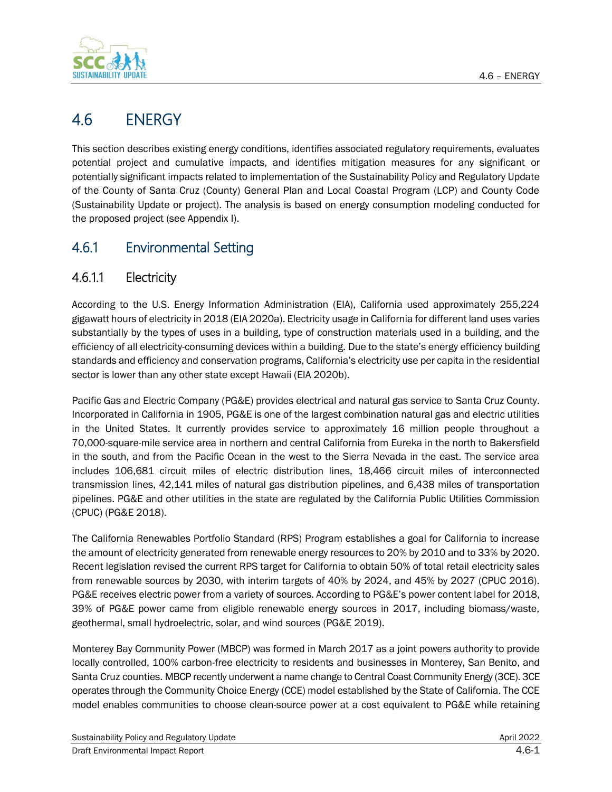

# 4.6 ENERGY

This section describes existing energy conditions, identifies associated regulatory requirements, evaluates potential project and cumulative impacts, and identifies mitigation measures for any significant or potentially significant impacts related to implementation of the Sustainability Policy and Regulatory Update of the County of Santa Cruz (County) General Plan and Local Coastal Program (LCP) and County Code (Sustainability Update or project). The analysis is based on energy consumption modeling conducted for the proposed project (see Appendix I).

# 4.6.1 Environmental Setting

# 4.6.1.1 Electricity

According to the U.S. Energy Information Administration (EIA), California used approximately 255,224 gigawatt hours of electricity in 2018 (EIA 2020a). Electricity usage in California for different land uses varies substantially by the types of uses in a building, type of construction materials used in a building, and the efficiency of all electricity-consuming devices within a building. Due to the state's energy efficiency building standards and efficiency and conservation programs, California's electricity use per capita in the residential sector is lower than any other state except Hawaii (EIA 2020b).

Pacific Gas and Electric Company (PG&E) provides electrical and natural gas service to Santa Cruz County. Incorporated in California in 1905, PG&E is one of the largest combination natural gas and electric utilities in the United States. It currently provides service to approximately 16 million people throughout a 70,000-square-mile service area in northern and central California from Eureka in the north to Bakersfield in the south, and from the Pacific Ocean in the west to the Sierra Nevada in the east. The service area includes 106,681 circuit miles of electric distribution lines, 18,466 circuit miles of interconnected transmission lines, 42,141 miles of natural gas distribution pipelines, and 6,438 miles of transportation pipelines. PG&E and other utilities in the state are regulated by the California Public Utilities Commission (CPUC) (PG&E 2018).

The California Renewables Portfolio Standard (RPS) Program establishes a goal for California to increase the amount of electricity generated from renewable energy resources to 20% by 2010 and to 33% by 2020. Recent legislation revised the current RPS target for California to obtain 50% of total retail electricity sales from renewable sources by 2030, with interim targets of 40% by 2024, and 45% by 2027 (CPUC 2016). PG&E receives electric power from a variety of sources. According to PG&E's power content label for 2018, 39% of PG&E power came from eligible renewable energy sources in 2017, including biomass/waste, geothermal, small hydroelectric, solar, and wind sources (PG&E 2019).

Monterey Bay Community Power (MBCP) was formed in March 2017 as a joint powers authority to provide locally controlled, 100% carbon-free electricity to residents and businesses in Monterey, San Benito, and Santa Cruz counties. MBCP recently underwent a name change to Central Coast Community Energy (3CE). 3CE operates through the Community Choice Energy (CCE) model established by the State of California. The CCE model enables communities to choose clean-source power at a cost equivalent to PG&E while retaining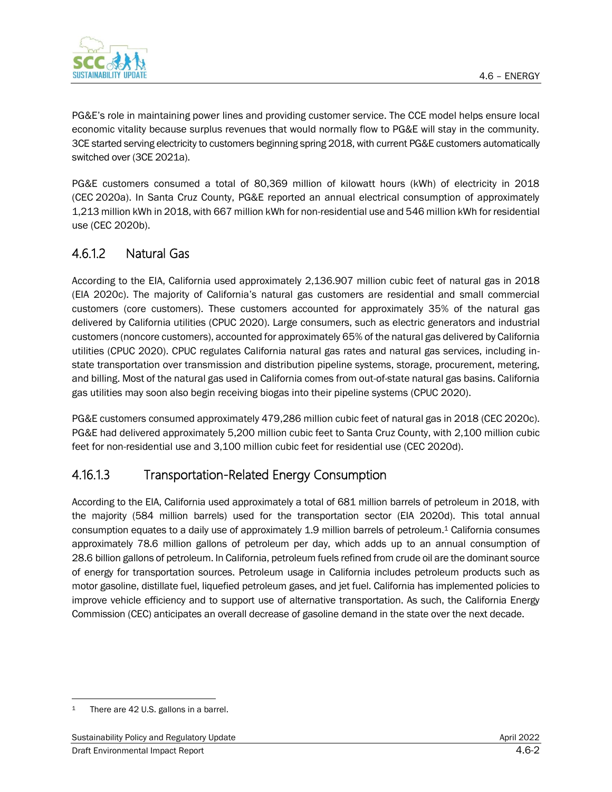

PG&E's role in maintaining power lines and providing customer service. The CCE model helps ensure local economic vitality because surplus revenues that would normally flow to PG&E will stay in the community. 3CE started serving electricity to customers beginning spring 2018, with current PG&E customers automatically switched over (3CE 2021a).

PG&E customers consumed a total of 80,369 million of kilowatt hours (kWh) of electricity in 2018 (CEC 2020a). In Santa Cruz County, PG&E reported an annual electrical consumption of approximately 1,213 million kWh in 2018, with 667 million kWh for non-residential use and 546 million kWh for residential use (CEC 2020b).

# 4.6.1.2 Natural Gas

According to the EIA, California used approximately 2,136.907 million cubic feet of natural gas in 2018 (EIA 2020c). The majority of California's natural gas customers are residential and small commercial customers (core customers). These customers accounted for approximately 35% of the natural gas delivered by California utilities (CPUC 2020). Large consumers, such as electric generators and industrial customers (noncore customers), accounted for approximately 65% of the natural gas delivered by California utilities (CPUC 2020). CPUC regulates California natural gas rates and natural gas services, including instate transportation over transmission and distribution pipeline systems, storage, procurement, metering, and billing. Most of the natural gas used in California comes from out-of-state natural gas basins. California gas utilities may soon also begin receiving biogas into their pipeline systems (CPUC 2020).

PG&E customers consumed approximately 479,286 million cubic feet of natural gas in 2018 (CEC 2020c). PG&E had delivered approximately 5,200 million cubic feet to Santa Cruz County, with 2,100 million cubic feet for non-residential use and 3,100 million cubic feet for residential use (CEC 2020d).

# 4.16.1.3 Transportation-Related Energy Consumption

According to the EIA, California used approximately a total of 681 million barrels of petroleum in 2018, with the majority (584 million barrels) used for the transportation sector (EIA 2020d). This total annual consumption equates to a daily use of approximately 1.9 million barrels of petroleum.<sup>1</sup> California consumes approximately 78.6 million gallons of petroleum per day, which adds up to an annual consumption of 28.6 billion gallons of petroleum. In California, petroleum fuels refined from crude oil are the dominant source of energy for transportation sources. Petroleum usage in California includes petroleum products such as motor gasoline, distillate fuel, liquefied petroleum gases, and jet fuel. California has implemented policies to improve vehicle efficiency and to support use of alternative transportation. As such, the California Energy Commission (CEC) anticipates an overall decrease of gasoline demand in the state over the next decade.

<sup>1</sup> There are 42 U.S. gallons in a barrel.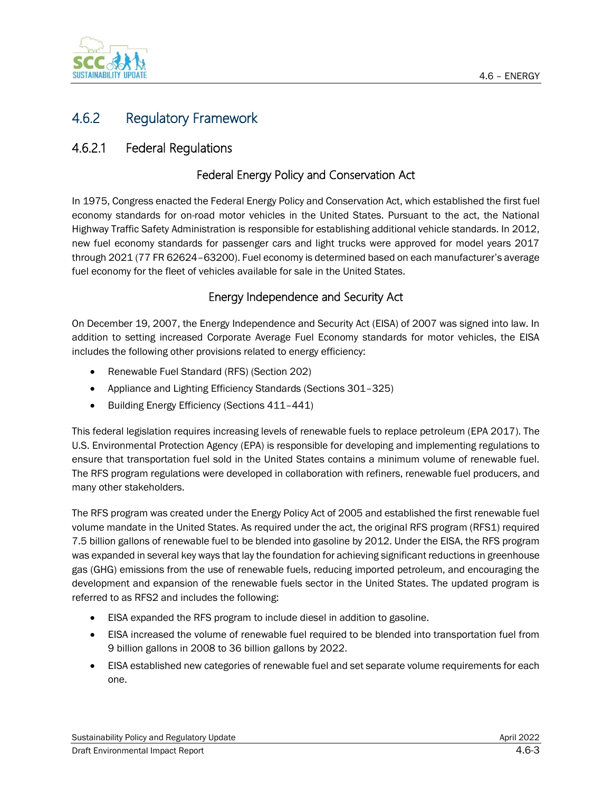

# 4.6.2 Regulatory Framework

# 4.6.2.1 Federal Regulations

### Federal Energy Policy and Conservation Act

In 1975, Congress enacted the Federal Energy Policy and Conservation Act, which established the first fuel economy standards for on-road motor vehicles in the United States. Pursuant to the act, the National Highway Traffic Safety Administration is responsible for establishing additional vehicle standards. In 2012, new fuel economy standards for passenger cars and light trucks were approved for model years 2017 through 2021 (77 FR 62624–63200). Fuel economy is determined based on each manufacturer's average fuel economy for the fleet of vehicles available for sale in the United States.

### Energy Independence and Security Act

On December 19, 2007, the Energy Independence and Security Act (EISA) of 2007 was signed into law. In addition to setting increased Corporate Average Fuel Economy standards for motor vehicles, the EISA includes the following other provisions related to energy efficiency:

- Renewable Fuel Standard (RFS) (Section 202)
- Appliance and Lighting Efficiency Standards (Sections 301–325)
- Building Energy Efficiency (Sections 411–441)

This federal legislation requires increasing levels of renewable fuels to replace petroleum (EPA 2017). The U.S. Environmental Protection Agency (EPA) is responsible for developing and implementing regulations to ensure that transportation fuel sold in the United States contains a minimum volume of renewable fuel. The RFS program regulations were developed in collaboration with refiners, renewable fuel producers, and many other stakeholders.

The RFS program was created under the Energy Policy Act of 2005 and established the first renewable fuel volume mandate in the United States. As required under the act, the original RFS program (RFS1) required 7.5 billion gallons of renewable fuel to be blended into gasoline by 2012. Under the EISA, the RFS program was expanded in several key ways that lay the foundation for achieving significant reductions in greenhouse gas (GHG) emissions from the use of renewable fuels, reducing imported petroleum, and encouraging the development and expansion of the renewable fuels sector in the United States. The updated program is referred to as RFS2 and includes the following:

- EISA expanded the RFS program to include diesel in addition to gasoline.
- EISA increased the volume of renewable fuel required to be blended into transportation fuel from 9 billion gallons in 2008 to 36 billion gallons by 2022.
- EISA established new categories of renewable fuel and set separate volume requirements for each one.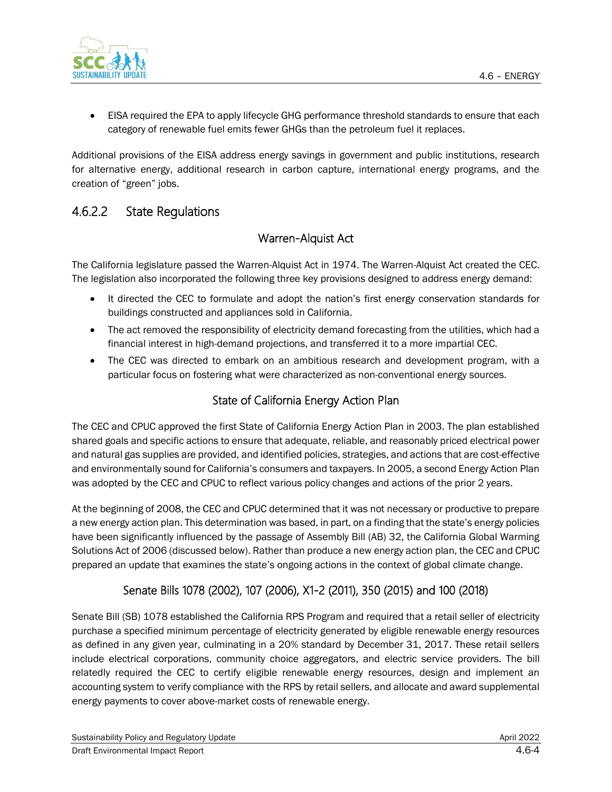

• EISA required the EPA to apply lifecycle GHG performance threshold standards to ensure that each category of renewable fuel emits fewer GHGs than the petroleum fuel it replaces.

Additional provisions of the EISA address energy savings in government and public institutions, research for alternative energy, additional research in carbon capture, international energy programs, and the creation of "green" jobs.

# 4.6.2.2 State Regulations

#### Warren-Alquist Act

The California legislature passed the Warren-Alquist Act in 1974. The Warren-Alquist Act created the CEC. The legislation also incorporated the following three key provisions designed to address energy demand:

- It directed the CEC to formulate and adopt the nation's first energy conservation standards for buildings constructed and appliances sold in California.
- The act removed the responsibility of electricity demand forecasting from the utilities, which had a financial interest in high-demand projections, and transferred it to a more impartial CEC.
- The CEC was directed to embark on an ambitious research and development program, with a particular focus on fostering what were characterized as non-conventional energy sources.

### State of California Energy Action Plan

The CEC and CPUC approved the first State of California Energy Action Plan in 2003. The plan established shared goals and specific actions to ensure that adequate, reliable, and reasonably priced electrical power and natural gas supplies are provided, and identified policies, strategies, and actions that are cost-effective and environmentally sound for California's consumers and taxpayers. In 2005, a second Energy Action Plan was adopted by the CEC and CPUC to reflect various policy changes and actions of the prior 2 years.

At the beginning of 2008, the CEC and CPUC determined that it was not necessary or productive to prepare a new energy action plan. This determination was based, in part, on a finding that the state's energy policies have been significantly influenced by the passage of Assembly Bill (AB) 32, the California Global Warming Solutions Act of 2006 (discussed below). Rather than produce a new energy action plan, the CEC and CPUC prepared an update that examines the state's ongoing actions in the context of global climate change.

### Senate Bills 1078 (2002), 107 (2006), X1-2 (2011), 350 (2015) and 100 (2018)

Senate Bill (SB) 1078 established the California RPS Program and required that a retail seller of electricity purchase a specified minimum percentage of electricity generated by eligible renewable energy resources as defined in any given year, culminating in a 20% standard by December 31, 2017. These retail sellers include electrical corporations, community choice aggregators, and electric service providers. The bill relatedly required the CEC to certify eligible renewable energy resources, design and implement an accounting system to verify compliance with the RPS by retail sellers, and allocate and award supplemental energy payments to cover above-market costs of renewable energy.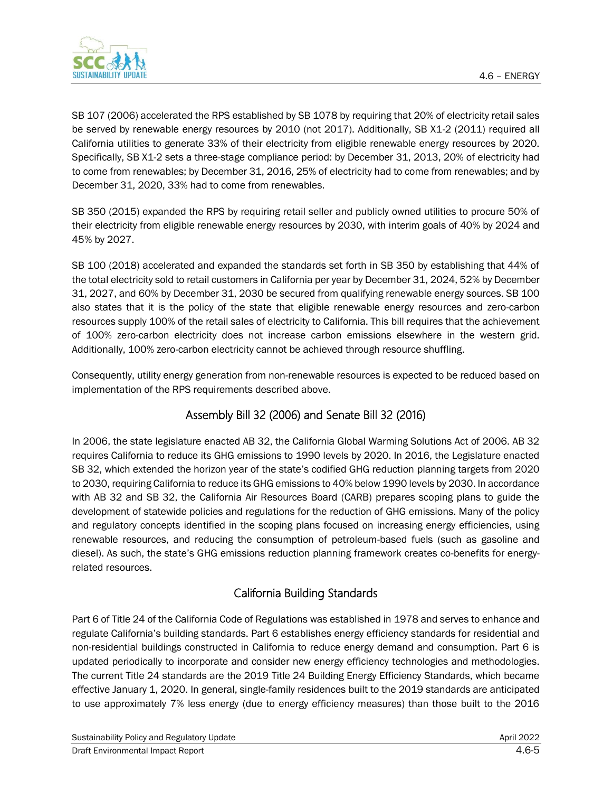

SB 107 (2006) accelerated the RPS established by SB 1078 by requiring that 20% of electricity retail sales be served by renewable energy resources by 2010 (not 2017). Additionally, SB X1-2 (2011) required all California utilities to generate 33% of their electricity from eligible renewable energy resources by 2020. Specifically, SB X1-2 sets a three-stage compliance period: by December 31, 2013, 20% of electricity had to come from renewables; by December 31, 2016, 25% of electricity had to come from renewables; and by December 31, 2020, 33% had to come from renewables.

SB 350 (2015) expanded the RPS by requiring retail seller and publicly owned utilities to procure 50% of their electricity from eligible renewable energy resources by 2030, with interim goals of 40% by 2024 and 45% by 2027.

SB 100 (2018) accelerated and expanded the standards set forth in SB 350 by establishing that 44% of the total electricity sold to retail customers in California per year by December 31, 2024, 52% by December 31, 2027, and 60% by December 31, 2030 be secured from qualifying renewable energy sources. SB 100 also states that it is the policy of the state that eligible renewable energy resources and zero-carbon resources supply 100% of the retail sales of electricity to California. This bill requires that the achievement of 100% zero-carbon electricity does not increase carbon emissions elsewhere in the western grid. Additionally, 100% zero-carbon electricity cannot be achieved through resource shuffling.

Consequently, utility energy generation from non-renewable resources is expected to be reduced based on implementation of the RPS requirements described above.

# Assembly Bill 32 (2006) and Senate Bill 32 (2016)

In 2006, the state legislature enacted AB 32, the California Global Warming Solutions Act of 2006. AB 32 requires California to reduce its GHG emissions to 1990 levels by 2020. In 2016, the Legislature enacted SB 32, which extended the horizon year of the state's codified GHG reduction planning targets from 2020 to 2030, requiring California to reduce its GHG emissions to 40% below 1990 levels by 2030. In accordance with AB 32 and SB 32, the California Air Resources Board (CARB) prepares scoping plans to guide the development of statewide policies and regulations for the reduction of GHG emissions. Many of the policy and regulatory concepts identified in the scoping plans focused on increasing energy efficiencies, using renewable resources, and reducing the consumption of petroleum-based fuels (such as gasoline and diesel). As such, the state's GHG emissions reduction planning framework creates co-benefits for energyrelated resources.

### California Building Standards

Part 6 of Title 24 of the California Code of Regulations was established in 1978 and serves to enhance and regulate California's building standards. Part 6 establishes energy efficiency standards for residential and non-residential buildings constructed in California to reduce energy demand and consumption. Part 6 is updated periodically to incorporate and consider new energy efficiency technologies and methodologies. The current Title 24 standards are the 2019 Title 24 Building Energy Efficiency Standards, which became effective January 1, 2020. In general, single-family residences built to the 2019 standards are anticipated to use approximately 7% less energy (due to energy efficiency measures) than those built to the 2016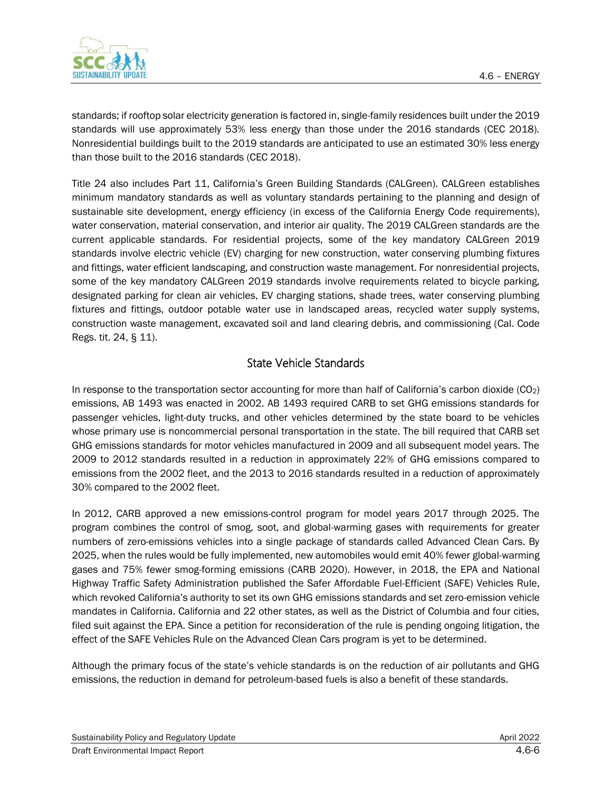

standards; if rooftop solar electricity generation is factored in, single-family residences built under the 2019 standards will use approximately 53% less energy than those under the 2016 standards (CEC 2018). Nonresidential buildings built to the 2019 standards are anticipated to use an estimated 30% less energy than those built to the 2016 standards (CEC 2018).

Title 24 also includes Part 11, California's Green Building Standards (CALGreen). CALGreen establishes minimum mandatory standards as well as voluntary standards pertaining to the planning and design of sustainable site development, energy efficiency (in excess of the California Energy Code requirements), water conservation, material conservation, and interior air quality. The 2019 CALGreen standards are the current applicable standards. For residential projects, some of the key mandatory CALGreen 2019 standards involve electric vehicle (EV) charging for new construction, water conserving plumbing fixtures and fittings, water efficient landscaping, and construction waste management. For nonresidential projects, some of the key mandatory CALGreen 2019 standards involve requirements related to bicycle parking, designated parking for clean air vehicles, EV charging stations, shade trees, water conserving plumbing fixtures and fittings, outdoor potable water use in landscaped areas, recycled water supply systems, construction waste management, excavated soil and land clearing debris, and commissioning (Cal. Code Regs. tit. 24, § 11).

#### State Vehicle Standards

In response to the transportation sector accounting for more than half of California's carbon dioxide (CO2) emissions, AB 1493 was enacted in 2002. AB 1493 required CARB to set GHG emissions standards for passenger vehicles, light-duty trucks, and other vehicles determined by the state board to be vehicles whose primary use is noncommercial personal transportation in the state. The bill required that CARB set GHG emissions standards for motor vehicles manufactured in 2009 and all subsequent model years. The 2009 to 2012 standards resulted in a reduction in approximately 22% of GHG emissions compared to emissions from the 2002 fleet, and the 2013 to 2016 standards resulted in a reduction of approximately 30% compared to the 2002 fleet.

In 2012, CARB approved a new emissions-control program for model years 2017 through 2025. The program combines the control of smog, soot, and global-warming gases with requirements for greater numbers of zero-emissions vehicles into a single package of standards called Advanced Clean Cars. By 2025, when the rules would be fully implemented, new automobiles would emit 40% fewer global-warming gases and 75% fewer smog-forming emissions (CARB 2020). However, in 2018, the EPA and National Highway Traffic Safety Administration published the Safer Affordable Fuel-Efficient (SAFE) Vehicles Rule, which revoked California's authority to set its own GHG emissions standards and set zero-emission vehicle mandates in California. California and 22 other states, as well as the District of Columbia and four cities, filed suit against the EPA. Since a petition for reconsideration of the rule is pending ongoing litigation, the effect of the SAFE Vehicles Rule on the Advanced Clean Cars program is yet to be determined.

Although the primary focus of the state's vehicle standards is on the reduction of air pollutants and GHG emissions, the reduction in demand for petroleum-based fuels is also a benefit of these standards.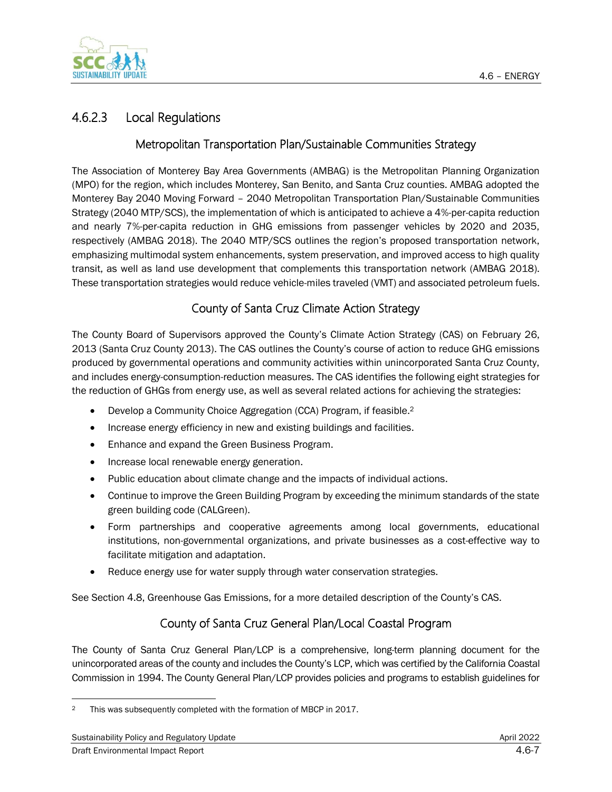

# 4.6.2.3 Local Regulations

#### Metropolitan Transportation Plan/Sustainable Communities Strategy

The Association of Monterey Bay Area Governments (AMBAG) is the Metropolitan Planning Organization (MPO) for the region, which includes Monterey, San Benito, and Santa Cruz counties. AMBAG adopted the Monterey Bay 2040 Moving Forward – 2040 Metropolitan Transportation Plan/Sustainable Communities Strategy (2040 MTP/SCS), the implementation of which is anticipated to achieve a 4%-per-capita reduction and nearly 7%-per-capita reduction in GHG emissions from passenger vehicles by 2020 and 2035, respectively (AMBAG 2018). The 2040 MTP/SCS outlines the region's proposed transportation network, emphasizing multimodal system enhancements, system preservation, and improved access to high quality transit, as well as land use development that complements this transportation network (AMBAG 2018). These transportation strategies would reduce vehicle-miles traveled (VMT) and associated petroleum fuels.

### County of Santa Cruz Climate Action Strategy

The County Board of Supervisors approved the County's Climate Action Strategy (CAS) on February 26, 2013 (Santa Cruz County 2013). The CAS outlines the County's course of action to reduce GHG emissions produced by governmental operations and community activities within unincorporated Santa Cruz County, and includes energy-consumption-reduction measures. The CAS identifies the following eight strategies for the reduction of GHGs from energy use, as well as several related actions for achieving the strategies:

- Develop a Community Choice Aggregation (CCA) Program, if feasible.<sup>2</sup>
- Increase energy efficiency in new and existing buildings and facilities.
- Enhance and expand the Green Business Program.
- Increase local renewable energy generation.
- Public education about climate change and the impacts of individual actions.
- Continue to improve the Green Building Program by exceeding the minimum standards of the state green building code (CALGreen).
- Form partnerships and cooperative agreements among local governments, educational institutions, non-governmental organizations, and private businesses as a cost-effective way to facilitate mitigation and adaptation.
- Reduce energy use for water supply through water conservation strategies.

See Section 4.8, Greenhouse Gas Emissions, for a more detailed description of the County's CAS.

### County of Santa Cruz General Plan/Local Coastal Program

The County of Santa Cruz General Plan/LCP is a comprehensive, long-term planning document for the unincorporated areas of the county and includes the County's LCP, which was certified by the California Coastal Commission in 1994. The County General Plan/LCP provides policies and programs to establish guidelines for

<sup>&</sup>lt;sup>2</sup> This was subsequently completed with the formation of MBCP in 2017.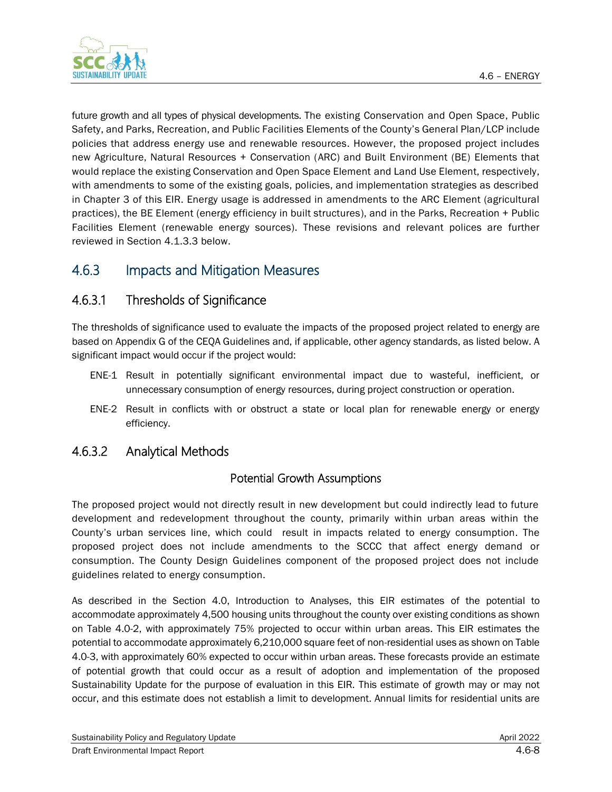

future growth and all types of physical developments. The existing Conservation and Open Space, Public Safety, and Parks, Recreation, and Public Facilities Elements of the County's General Plan/LCP include policies that address energy use and renewable resources. However, the proposed project includes new Agriculture, Natural Resources + Conservation (ARC) and Built Environment (BE) Elements that would replace the existing Conservation and Open Space Element and Land Use Element, respectively, with amendments to some of the existing goals, policies, and implementation strategies as described in Chapter 3 of this EIR. Energy usage is addressed in amendments to the ARC Element (agricultural practices), the BE Element (energy efficiency in built structures), and in the Parks, Recreation + Public Facilities Element (renewable energy sources). These revisions and relevant polices are further reviewed in Section 4.1.3.3 below.

# 4.6.3 Impacts and Mitigation Measures

# 4.6.3.1 Thresholds of Significance

The thresholds of significance used to evaluate the impacts of the proposed project related to energy are based on Appendix G of the CEQA Guidelines and, if applicable, other agency standards, as listed below. A significant impact would occur if the project would:

- ENE-1 Result in potentially significant environmental impact due to wasteful, inefficient, or unnecessary consumption of energy resources, during project construction or operation.
- ENE-2 Result in conflicts with or obstruct a state or local plan for renewable energy or energy efficiency.

### 4.6.3.2 Analytical Methods

#### Potential Growth Assumptions

The proposed project would not directly result in new development but could indirectly lead to future development and redevelopment throughout the county, primarily within urban areas within the County's urban services line, which could result in impacts related to energy consumption. The proposed project does not include amendments to the SCCC that affect energy demand or consumption. The County Design Guidelines component of the proposed project does not include guidelines related to energy consumption.

As described in the Section 4.0, Introduction to Analyses, this EIR estimates of the potential to accommodate approximately 4,500 housing units throughout the county over existing conditions as shown on Table 4.0-2, with approximately 75% projected to occur within urban areas. This EIR estimates the potential to accommodate approximately 6,210,000 square feet of non-residential uses as shown on Table 4.0-3, with approximately 60% expected to occur within urban areas. These forecasts provide an estimate of potential growth that could occur as a result of adoption and implementation of the proposed Sustainability Update for the purpose of evaluation in this EIR. This estimate of growth may or may not occur, and this estimate does not establish a limit to development. Annual limits for residential units are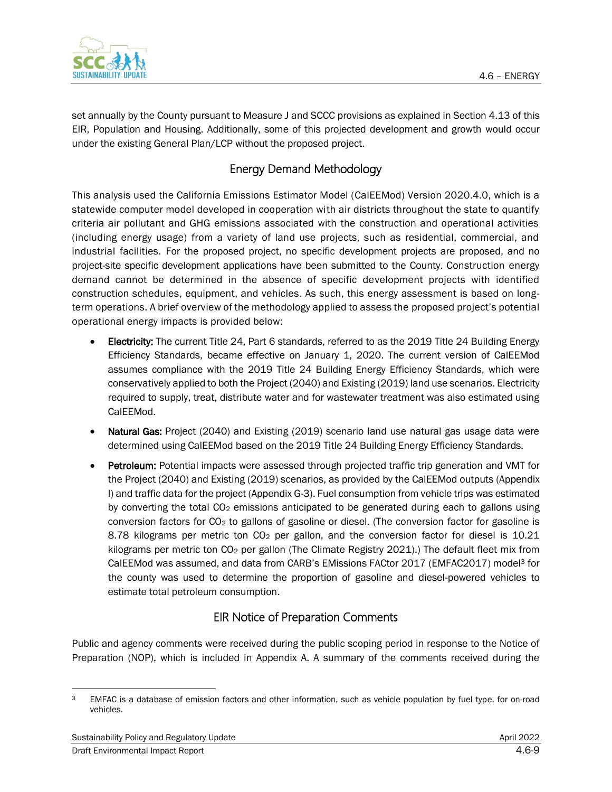

set annually by the County pursuant to Measure J and SCCC provisions as explained in Section 4.13 of this EIR, Population and Housing. Additionally, some of this projected development and growth would occur under the existing General Plan/LCP without the proposed project.

### Energy Demand Methodology

This analysis used the California Emissions Estimator Model (CalEEMod) Version 2020.4.0, which is a statewide computer model developed in cooperation with air districts throughout the state to quantify criteria air pollutant and GHG emissions associated with the construction and operational activities (including energy usage) from a variety of land use projects, such as residential, commercial, and industrial facilities. For the proposed project, no specific development projects are proposed, and no project-site specific development applications have been submitted to the County. Construction energy demand cannot be determined in the absence of specific development projects with identified construction schedules, equipment, and vehicles. As such, this energy assessment is based on longterm operations. A brief overview of the methodology applied to assess the proposed project's potential operational energy impacts is provided below:

- Electricity: The current Title 24, Part 6 standards, referred to as the 2019 Title 24 Building Energy Efficiency Standards, became effective on January 1, 2020. The current version of CalEEMod assumes compliance with the 2019 Title 24 Building Energy Efficiency Standards, which were conservatively applied to both the Project (2040) and Existing (2019) land use scenarios. Electricity required to supply, treat, distribute water and for wastewater treatment was also estimated using CalEEMod.
- Natural Gas: Project (2040) and Existing (2019) scenario land use natural gas usage data were determined using CalEEMod based on the 2019 Title 24 Building Energy Efficiency Standards.
- Petroleum: Potential impacts were assessed through projected traffic trip generation and VMT for the Project (2040) and Existing (2019) scenarios, as provided by the CalEEMod outputs (Appendix I) and traffic data for the project (Appendix G-3). Fuel consumption from vehicle trips was estimated by converting the total  $CO<sub>2</sub>$  emissions anticipated to be generated during each to gallons using conversion factors for  $CO<sub>2</sub>$  to gallons of gasoline or diesel. (The conversion factor for gasoline is 8.78 kilograms per metric ton  $CO<sub>2</sub>$  per gallon, and the conversion factor for diesel is 10.21 kilograms per metric ton CO<sub>2</sub> per gallon (The Climate Registry 2021).) The default fleet mix from CalEEMod was assumed, and data from CARB's EMissions FACtor 2017 (EMFAC2017) model<sup>3</sup> for the county was used to determine the proportion of gasoline and diesel-powered vehicles to estimate total petroleum consumption.

### EIR Notice of Preparation Comments

Public and agency comments were received during the public scoping period in response to the Notice of Preparation (NOP), which is included in Appendix A. A summary of the comments received during the

<sup>&</sup>lt;sup>3</sup> EMFAC is a database of emission factors and other information, such as vehicle population by fuel type, for on-road vehicles.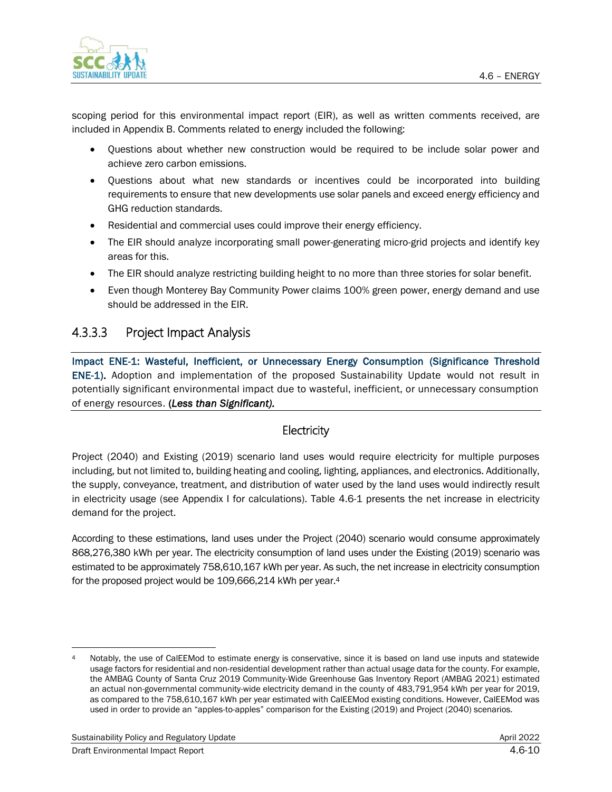

scoping period for this environmental impact report (EIR), as well as written comments received, are included in Appendix B. Comments related to energy included the following:

- Questions about whether new construction would be required to be include solar power and achieve zero carbon emissions.
- Questions about what new standards or incentives could be incorporated into building requirements to ensure that new developments use solar panels and exceed energy efficiency and GHG reduction standards.
- Residential and commercial uses could improve their energy efficiency.
- The EIR should analyze incorporating small power-generating micro-grid projects and identify key areas for this.
- The EIR should analyze restricting building height to no more than three stories for solar benefit.
- Even though Monterey Bay Community Power claims 100% green power, energy demand and use should be addressed in the EIR.

#### 4.3.3.3 Project Impact Analysis

Impact ENE-1: Wasteful, Inefficient, or Unnecessary Energy Consumption (Significance Threshold ENE-1). Adoption and implementation of the proposed Sustainability Update would not result in potentially significant environmental impact due to wasteful, inefficient, or unnecessary consumption of energy resources. (*Less than Significant).*

#### **Electricity**

Project (2040) and Existing (2019) scenario land uses would require electricity for multiple purposes including, but not limited to, building heating and cooling, lighting, appliances, and electronics. Additionally, the supply, conveyance, treatment, and distribution of water used by the land uses would indirectly result in electricity usage (see Appendix I for calculations). Table 4.6-1 presents the net increase in electricity demand for the project.

According to these estimations, land uses under the Project (2040) scenario would consume approximately 868,276,380 kWh per year. The electricity consumption of land uses under the Existing (2019) scenario was estimated to be approximately 758,610,167 kWh per year. As such, the net increase in electricity consumption for the proposed project would be 109,666,214 kWh per year.<sup>4</sup>

Notably, the use of CalEEMod to estimate energy is conservative, since it is based on land use inputs and statewide usage factors for residential and non-residential development rather than actual usage data for the county. For example, the AMBAG County of Santa Cruz 2019 Community-Wide Greenhouse Gas Inventory Report (AMBAG 2021) estimated an actual non-governmental community-wide electricity demand in the county of 483,791,954 kWh per year for 2019, as compared to the 758,610,167 kWh per year estimated with CalEEMod existing conditions. However, CalEEMod was used in order to provide an "apples-to-apples" comparison for the Existing (2019) and Project (2040) scenarios.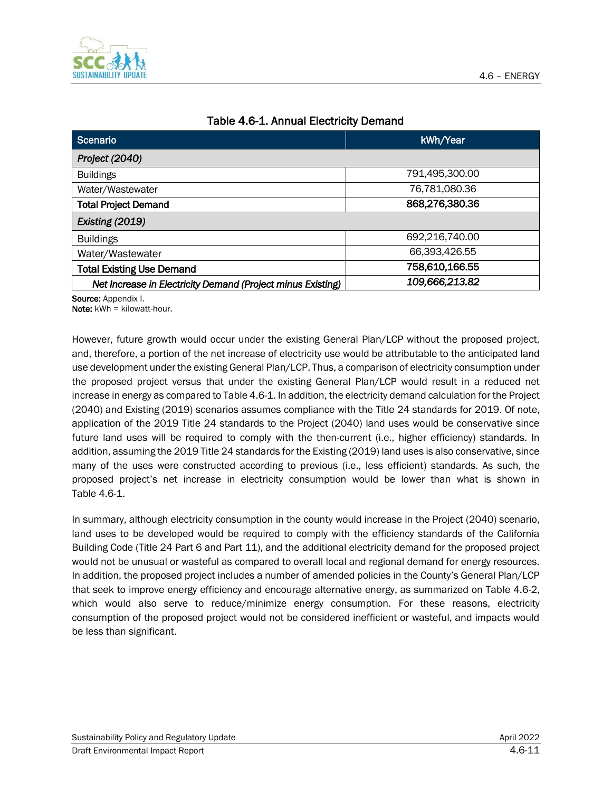

| Scenario<br>kWh/Year                                        |                |  |  |  |
|-------------------------------------------------------------|----------------|--|--|--|
| Project (2040)                                              |                |  |  |  |
| <b>Buildings</b>                                            | 791,495,300.00 |  |  |  |
| Water/Wastewater                                            | 76,781,080.36  |  |  |  |
| <b>Total Project Demand</b>                                 | 868,276,380.36 |  |  |  |
| Existing (2019)                                             |                |  |  |  |
| <b>Buildings</b>                                            | 692,216,740.00 |  |  |  |
| Water/Wastewater                                            | 66,393,426.55  |  |  |  |
| <b>Total Existing Use Demand</b>                            | 758,610,166.55 |  |  |  |
| Net Increase in Electricity Demand (Project minus Existing) | 109,666,213.82 |  |  |  |

#### Table 4.6-1. Annual Electricity Demand

Source: Appendix I.

Note: kWh = kilowatt-hour.

However, future growth would occur under the existing General Plan/LCP without the proposed project, and, therefore, a portion of the net increase of electricity use would be attributable to the anticipated land use development under the existing General Plan/LCP. Thus, a comparison of electricity consumption under the proposed project versus that under the existing General Plan/LCP would result in a reduced net increase in energy as compared to Table 4.6-1. In addition, the electricity demand calculation for the Project (2040) and Existing (2019) scenarios assumes compliance with the Title 24 standards for 2019. Of note, application of the 2019 Title 24 standards to the Project (2040) land uses would be conservative since future land uses will be required to comply with the then-current (i.e., higher efficiency) standards. In addition, assuming the 2019 Title 24 standards for the Existing (2019) land uses is also conservative, since many of the uses were constructed according to previous (i.e., less efficient) standards. As such, the proposed project's net increase in electricity consumption would be lower than what is shown in Table 4.6-1.

In summary, although electricity consumption in the county would increase in the Project (2040) scenario, land uses to be developed would be required to comply with the efficiency standards of the California Building Code (Title 24 Part 6 and Part 11), and the additional electricity demand for the proposed project would not be unusual or wasteful as compared to overall local and regional demand for energy resources. In addition, the proposed project includes a number of amended policies in the County's General Plan/LCP that seek to improve energy efficiency and encourage alternative energy, as summarized on Table 4.6-2, which would also serve to reduce/minimize energy consumption. For these reasons, electricity consumption of the proposed project would not be considered inefficient or wasteful, and impacts would be less than significant.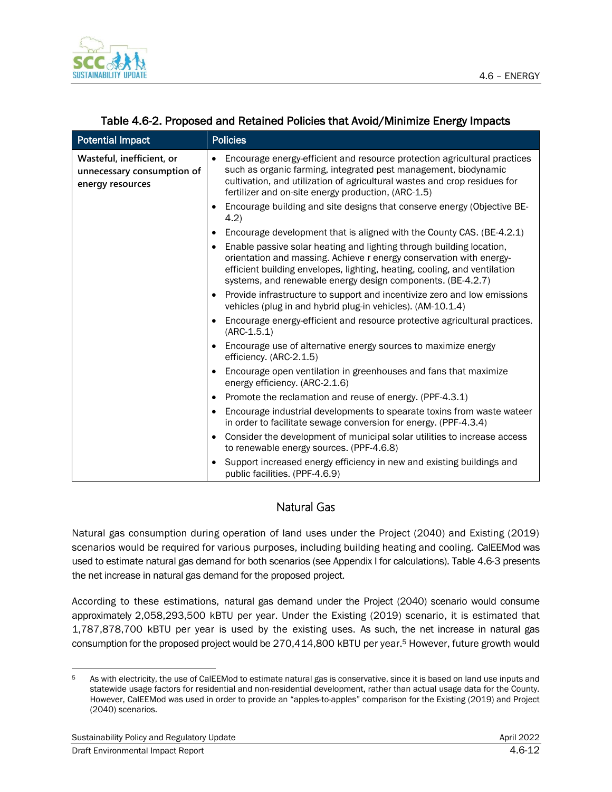

| <b>Potential Impact</b>                                                     | <b>Policies</b>                                                                                                                                                                                                                                                                                                                                                  |  |  |
|-----------------------------------------------------------------------------|------------------------------------------------------------------------------------------------------------------------------------------------------------------------------------------------------------------------------------------------------------------------------------------------------------------------------------------------------------------|--|--|
| Wasteful, inefficient, or<br>unnecessary consumption of<br>energy resources | Encourage energy-efficient and resource protection agricultural practices<br>٠<br>such as organic farming, integrated pest management, biodynamic<br>cultivation, and utilization of agricultural wastes and crop residues for<br>fertilizer and on-site energy production, (ARC-1.5)<br>Encourage building and site designs that conserve energy (Objective BE- |  |  |
|                                                                             | 4.2)                                                                                                                                                                                                                                                                                                                                                             |  |  |
|                                                                             | Encourage development that is aligned with the County CAS. (BE-4.2.1)                                                                                                                                                                                                                                                                                            |  |  |
|                                                                             | Enable passive solar heating and lighting through building location,<br>orientation and massing. Achieve r energy conservation with energy-<br>efficient building envelopes, lighting, heating, cooling, and ventilation<br>systems, and renewable energy design components. (BE-4.2.7)                                                                          |  |  |
|                                                                             | Provide infrastructure to support and incentivize zero and low emissions<br>vehicles (plug in and hybrid plug-in vehicles). (AM-10.1.4)                                                                                                                                                                                                                          |  |  |
|                                                                             | Encourage energy-efficient and resource protective agricultural practices.<br>$(ARC-1.5.1)$                                                                                                                                                                                                                                                                      |  |  |
|                                                                             | Encourage use of alternative energy sources to maximize energy<br>efficiency. (ARC-2.1.5)                                                                                                                                                                                                                                                                        |  |  |
|                                                                             | Encourage open ventilation in greenhouses and fans that maximize<br>energy efficiency. (ARC-2.1.6)                                                                                                                                                                                                                                                               |  |  |
|                                                                             | Promote the reclamation and reuse of energy. (PPF-4.3.1)                                                                                                                                                                                                                                                                                                         |  |  |
|                                                                             | Encourage industrial developments to spearate toxins from waste wateer<br>in order to facilitate sewage conversion for energy. (PPF-4.3.4)                                                                                                                                                                                                                       |  |  |
|                                                                             | Consider the development of municipal solar utilities to increase access<br>to renewable energy sources. (PPF-4.6.8)                                                                                                                                                                                                                                             |  |  |
|                                                                             | Support increased energy efficiency in new and existing buildings and<br>public facilities. (PPF-4.6.9)                                                                                                                                                                                                                                                          |  |  |

#### Table 4.6-2. Proposed and Retained Policies that Avoid/Minimize Energy Impacts

#### Natural Gas

Natural gas consumption during operation of land uses under the Project (2040) and Existing (2019) scenarios would be required for various purposes, including building heating and cooling. CalEEMod was used to estimate natural gas demand for both scenarios (see Appendix I for calculations). Table 4.6-3 presents the net increase in natural gas demand for the proposed project.

According to these estimations, natural gas demand under the Project (2040) scenario would consume approximately 2,058,293,500 kBTU per year. Under the Existing (2019) scenario, it is estimated that 1,787,878,700 kBTU per year is used by the existing uses. As such, the net increase in natural gas consumption for the proposed project would be 270,414,800 kBTU per year.<sup>5</sup> However, future growth would

<sup>&</sup>lt;sup>5</sup> As with electricity, the use of CalEEMod to estimate natural gas is conservative, since it is based on land use inputs and statewide usage factors for residential and non-residential development, rather than actual usage data for the County. However, CalEEMod was used in order to provide an "apples-to-apples" comparison for the Existing (2019) and Project (2040) scenarios.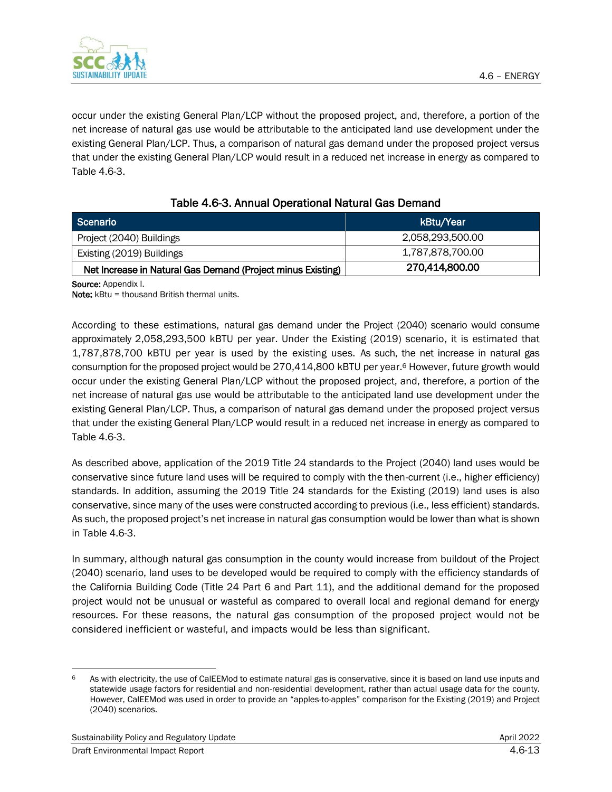

occur under the existing General Plan/LCP without the proposed project, and, therefore, a portion of the net increase of natural gas use would be attributable to the anticipated land use development under the existing General Plan/LCP. Thus, a comparison of natural gas demand under the proposed project versus that under the existing General Plan/LCP would result in a reduced net increase in energy as compared to Table 4.6-3.

| Scenario                                                    | kBtu/Year        |
|-------------------------------------------------------------|------------------|
| Project (2040) Buildings                                    | 2,058,293,500.00 |
| Existing (2019) Buildings                                   | 1,787,878,700.00 |
| Net Increase in Natural Gas Demand (Project minus Existing) | 270,414,800.00   |

Source: Appendix I.

Note: kBtu = thousand British thermal units.

According to these estimations, natural gas demand under the Project (2040) scenario would consume approximately 2,058,293,500 kBTU per year. Under the Existing (2019) scenario, it is estimated that 1,787,878,700 kBTU per year is used by the existing uses. As such, the net increase in natural gas consumption for the proposed project would be 270,414,800 kBTU per year.<sup>6</sup> However, future growth would occur under the existing General Plan/LCP without the proposed project, and, therefore, a portion of the net increase of natural gas use would be attributable to the anticipated land use development under the existing General Plan/LCP. Thus, a comparison of natural gas demand under the proposed project versus that under the existing General Plan/LCP would result in a reduced net increase in energy as compared to Table 4.6-3.

As described above, application of the 2019 Title 24 standards to the Project (2040) land uses would be conservative since future land uses will be required to comply with the then-current (i.e., higher efficiency) standards. In addition, assuming the 2019 Title 24 standards for the Existing (2019) land uses is also conservative, since many of the uses were constructed according to previous (i.e., less efficient) standards. As such, the proposed project's net increase in natural gas consumption would be lower than what is shown in Table 4.6-3.

In summary, although natural gas consumption in the county would increase from buildout of the Project (2040) scenario, land uses to be developed would be required to comply with the efficiency standards of the California Building Code (Title 24 Part 6 and Part 11), and the additional demand for the proposed project would not be unusual or wasteful as compared to overall local and regional demand for energy resources. For these reasons, the natural gas consumption of the proposed project would not be considered inefficient or wasteful, and impacts would be less than significant.

<sup>6</sup> As with electricity, the use of CalEEMod to estimate natural gas is conservative, since it is based on land use inputs and statewide usage factors for residential and non-residential development, rather than actual usage data for the county. However, CalEEMod was used in order to provide an "apples-to-apples" comparison for the Existing (2019) and Project (2040) scenarios.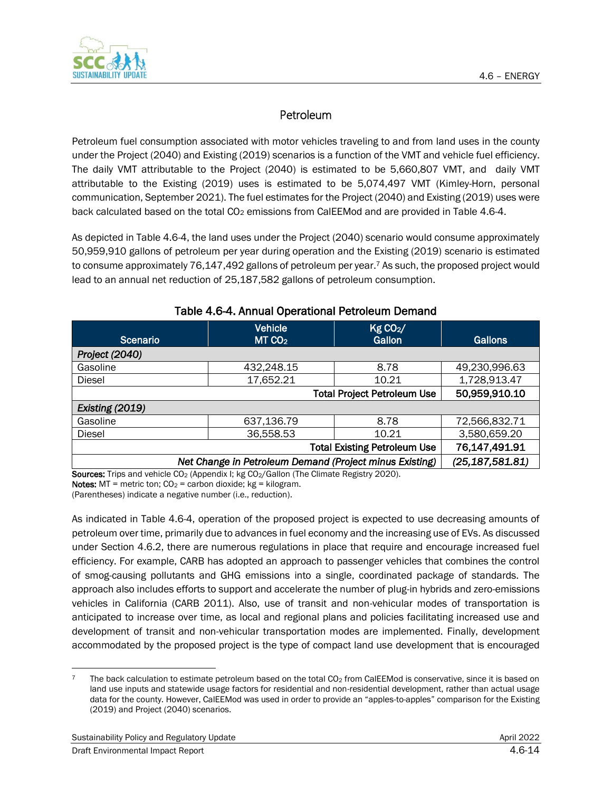

# Petroleum

Petroleum fuel consumption associated with motor vehicles traveling to and from land uses in the county under the Project (2040) and Existing (2019) scenarios is a function of the VMT and vehicle fuel efficiency. The daily VMT attributable to the Project (2040) is estimated to be 5,660,807 VMT, and daily VMT attributable to the Existing (2019) uses is estimated to be 5,074,497 VMT (Kimley-Horn, personal communication, September 2021). The fuel estimates for the Project (2040) and Existing (2019) uses were back calculated based on the total CO<sub>2</sub> emissions from CalEEMod and are provided in Table 4.6-4.

As depicted in Table 4.6-4, the land uses under the Project (2040) scenario would consume approximately 50,959,910 gallons of petroleum per year during operation and the Existing (2019) scenario is estimated to consume approximately 76,147,492 gallons of petroleum per year. <sup>7</sup> As such, the proposed project would lead to an annual net reduction of 25,187,582 gallons of petroleum consumption.

| <b>Scenario</b>                                         | Vehicle<br>MT CO <sub>2</sub> | Kg CO <sub>2</sub> /<br>Gallon | Gallons           |  |  |
|---------------------------------------------------------|-------------------------------|--------------------------------|-------------------|--|--|
| Project (2040)                                          |                               |                                |                   |  |  |
| Gasoline                                                | 432,248.15                    | 8.78                           | 49,230,996.63     |  |  |
| Diesel                                                  | 17,652.21                     | 10.21                          | 1,728,913.47      |  |  |
| <b>Total Project Petroleum Use</b>                      |                               |                                | 50,959,910.10     |  |  |
| Existing (2019)                                         |                               |                                |                   |  |  |
| Gasoline                                                | 637,136.79                    | 8.78                           | 72,566,832.71     |  |  |
| <b>Diesel</b>                                           | 36,558.53                     | 10.21                          | 3,580,659.20      |  |  |
| <b>Total Existing Petroleum Use</b>                     |                               |                                | 76,147,491.91     |  |  |
| Net Change in Petroleum Demand (Project minus Existing) |                               |                                | (25, 187, 581.81) |  |  |

#### Table 4.6-4. Annual Operational Petroleum Demand

Sources: Trips and vehicle CO<sub>2</sub> (Appendix I; kg CO<sub>2</sub>/Gallon (The Climate Registry 2020). Notes: MT = metric ton;  $CO_2$  = carbon dioxide; kg = kilogram.

(Parentheses) indicate a negative number (i.e., reduction).

As indicated in Table 4.6-4, operation of the proposed project is expected to use decreasing amounts of petroleum over time, primarily due to advances in fuel economy and the increasing use of EVs. As discussed under Section 4.6.2, there are numerous regulations in place that require and encourage increased fuel efficiency. For example, CARB has adopted an approach to passenger vehicles that combines the control of smog-causing pollutants and GHG emissions into a single, coordinated package of standards. The approach also includes efforts to support and accelerate the number of plug-in hybrids and zero-emissions vehicles in California (CARB 2011). Also, use of transit and non-vehicular modes of transportation is anticipated to increase over time, as local and regional plans and policies facilitating increased use and development of transit and non-vehicular transportation modes are implemented. Finally, development accommodated by the proposed project is the type of compact land use development that is encouraged

The back calculation to estimate petroleum based on the total  $CO<sub>2</sub>$  from CalEEMod is conservative, since it is based on land use inputs and statewide usage factors for residential and non-residential development, rather than actual usage data for the county. However, CalEEMod was used in order to provide an "apples-to-apples" comparison for the Existing (2019) and Project (2040) scenarios.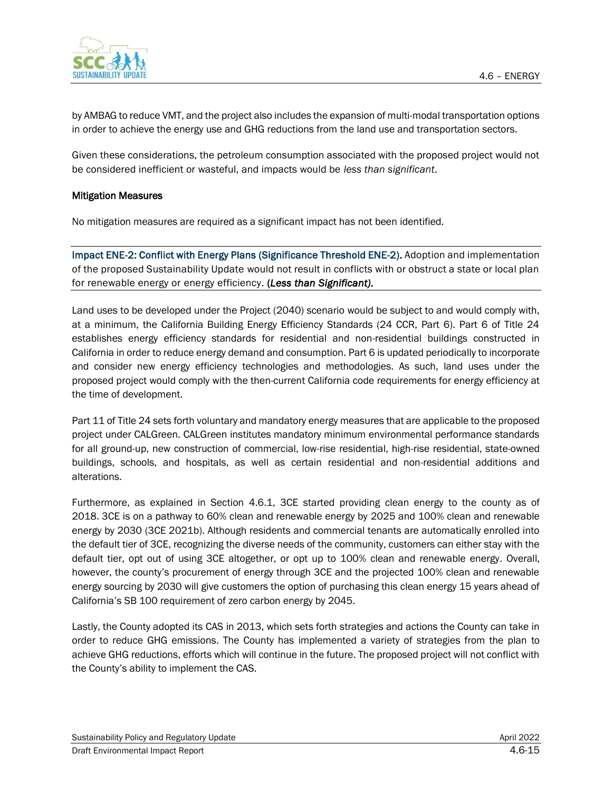4.6 – ENERGY



by AMBAG to reduce VMT, and the project also includes the expansion of multi-modal transportation options in order to achieve the energy use and GHG reductions from the land use and transportation sectors.

Given these considerations, the petroleum consumption associated with the proposed project would not be considered inefficient or wasteful, and impacts would be *less than significant*.

#### Mitigation Measures

No mitigation measures are required as a significant impact has not been identified.

Impact ENE-2: Conflict with Energy Plans (Significance Threshold ENE-2). Adoption and implementation of the proposed Sustainability Update would not result in conflicts with or obstruct a state or local plan for renewable energy or energy efficiency. (*Less than Significant).*

Land uses to be developed under the Project (2040) scenario would be subject to and would comply with, at a minimum, the California Building Energy Efficiency Standards (24 CCR, Part 6). Part 6 of Title 24 establishes energy efficiency standards for residential and non-residential buildings constructed in California in order to reduce energy demand and consumption. Part 6 is updated periodically to incorporate and consider new energy efficiency technologies and methodologies. As such, land uses under the proposed project would comply with the then-current California code requirements for energy efficiency at the time of development.

Part 11 of Title 24 sets forth voluntary and mandatory energy measures that are applicable to the proposed project under CALGreen. CALGreen institutes mandatory minimum environmental performance standards for all ground-up, new construction of commercial, low-rise residential, high-rise residential, state-owned buildings, schools, and hospitals, as well as certain residential and non-residential additions and alterations.

Furthermore, as explained in Section 4.6.1, 3CE started providing clean energy to the county as of 2018. 3CE is on a pathway to 60% clean and renewable energy by 2025 and 100% clean and renewable energy by 2030 (3CE 2021b). Although residents and commercial tenants are automatically enrolled into the default tier of 3CE, recognizing the diverse needs of the community, customers can either stay with the default tier, opt out of using 3CE altogether, or opt up to 100% clean and renewable energy. Overall, however, the county's procurement of energy through 3CE and the projected 100% clean and renewable energy sourcing by 2030 will give customers the option of purchasing this clean energy 15 years ahead of California's SB 100 requirement of zero carbon energy by 2045.

Lastly, the County adopted its CAS in 2013, which sets forth strategies and actions the County can take in order to reduce GHG emissions. The County has implemented a variety of strategies from the plan to achieve GHG reductions, efforts which will continue in the future. The proposed project will not conflict with the County's ability to implement the CAS.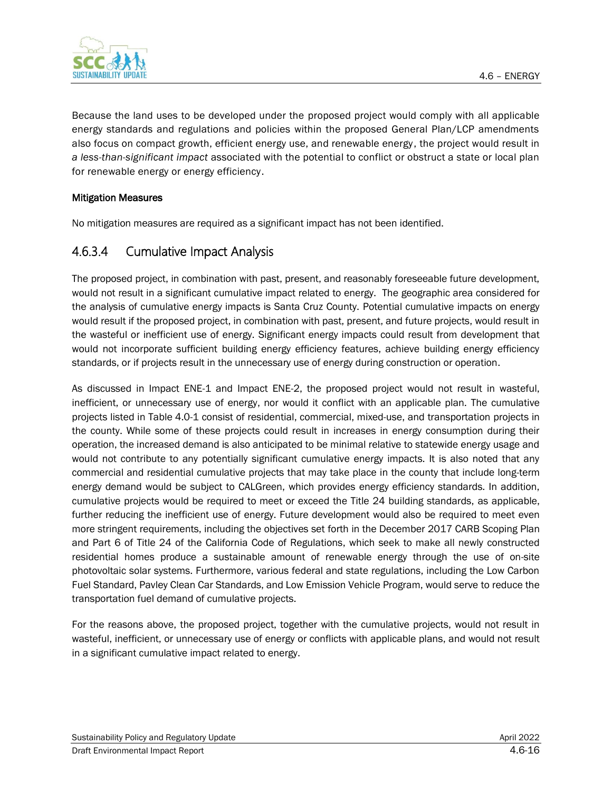

Because the land uses to be developed under the proposed project would comply with all applicable energy standards and regulations and policies within the proposed General Plan/LCP amendments also focus on compact growth, efficient energy use, and renewable energy, the project would result in *a less-than-significant impact* associated with the potential to conflict or obstruct a state or local plan for renewable energy or energy efficiency.

#### Mitigation Measures

No mitigation measures are required as a significant impact has not been identified.

### 4.6.3.4 Cumulative Impact Analysis

The proposed project, in combination with past, present, and reasonably foreseeable future development, would not result in a significant cumulative impact related to energy. The geographic area considered for the analysis of cumulative energy impacts is Santa Cruz County. Potential cumulative impacts on energy would result if the proposed project, in combination with past, present, and future projects, would result in the wasteful or inefficient use of energy. Significant energy impacts could result from development that would not incorporate sufficient building energy efficiency features, achieve building energy efficiency standards, or if projects result in the unnecessary use of energy during construction or operation.

As discussed in Impact ENE-1 and Impact ENE-2, the proposed project would not result in wasteful, inefficient, or unnecessary use of energy, nor would it conflict with an applicable plan. The cumulative projects listed in Table 4.0-1 consist of residential, commercial, mixed-use, and transportation projects in the county. While some of these projects could result in increases in energy consumption during their operation, the increased demand is also anticipated to be minimal relative to statewide energy usage and would not contribute to any potentially significant cumulative energy impacts. It is also noted that any commercial and residential cumulative projects that may take place in the county that include long-term energy demand would be subject to CALGreen, which provides energy efficiency standards. In addition, cumulative projects would be required to meet or exceed the Title 24 building standards, as applicable, further reducing the inefficient use of energy. Future development would also be required to meet even more stringent requirements, including the objectives set forth in the December 2017 CARB Scoping Plan and Part 6 of Title 24 of the California Code of Regulations, which seek to make all newly constructed residential homes produce a sustainable amount of renewable energy through the use of on-site photovoltaic solar systems. Furthermore, various federal and state regulations, including the Low Carbon Fuel Standard, Pavley Clean Car Standards, and Low Emission Vehicle Program, would serve to reduce the transportation fuel demand of cumulative projects.

For the reasons above, the proposed project, together with the cumulative projects, would not result in wasteful, inefficient, or unnecessary use of energy or conflicts with applicable plans, and would not result in a significant cumulative impact related to energy.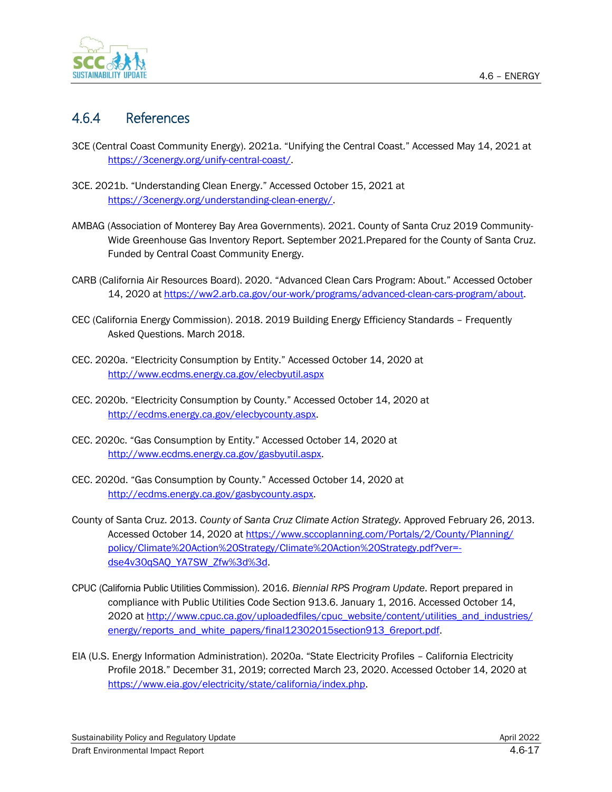

# 4.6.4 References

- 3CE (Central Coast Community Energy). 2021a. "Unifying the Central Coast." Accessed May 14, 2021 at [https://3cenergy.org/unify-central-coast/.](https://3cenergy.org/unify-central-coast/)
- 3CE. 2021b. "Understanding Clean Energy." Accessed October 15, 2021 at [https://3cenergy.org/understanding-clean-energy/.](https://3cenergy.org/understanding-clean-energy/)
- AMBAG (Association of Monterey Bay Area Governments). 2021. County of Santa Cruz 2019 Community-Wide Greenhouse Gas Inventory Report. September 2021.Prepared for the County of Santa Cruz. Funded by Central Coast Community Energy.
- CARB (California Air Resources Board). 2020. "Advanced Clean Cars Program: About." Accessed October 14, 2020 at [https://ww2.arb.ca.gov/our-work/programs/advanced-clean-cars-program/about.](https://ww2.arb.ca.gov/our-work/programs/advanced-clean-cars-program/about)
- CEC (California Energy Commission). 2018. 2019 Building Energy Efficiency Standards Frequently Asked Questions. March 2018.
- CEC. 2020a. "Electricity Consumption by Entity." Accessed October 14, 2020 at <http://www.ecdms.energy.ca.gov/elecbyutil.aspx>
- CEC. 2020b. "Electricity Consumption by County." Accessed October 14, 2020 at [http://ecdms.energy.ca.gov/elecbycounty.aspx.](http://ecdms.energy.ca.gov/elecbycounty.aspx)
- CEC. 2020c. "Gas Consumption by Entity." Accessed October 14, 2020 at [http://www.ecdms.energy.ca.gov/gasbyutil.aspx.](http://www.ecdms.energy.ca.gov/gasbyutil.aspx)
- CEC. 2020d. "Gas Consumption by County." Accessed October 14, 2020 at [http://ecdms.energy.ca.gov/gasbycounty.aspx.](http://ecdms.energy.ca.gov/gasbycounty.aspx)
- County of Santa Cruz. 2013. *County of Santa Cruz Climate Action Strategy.* Approved February 26, 2013. Accessed October 14, 2020 at [https://www.sccoplanning.com/Portals/2/County/Planning/](https://www.sccoplanning.com/Portals/2/County/Planning/policy/Climate%20Action%20Strategy/Climate%20Action%20Strategy.pdf?ver=-dse4v30qSAQ_YA7SW_Zfw%3d%3d) [policy/Climate%20Action%20Strategy/Climate%20Action%20Strategy.pdf?ver=](https://www.sccoplanning.com/Portals/2/County/Planning/policy/Climate%20Action%20Strategy/Climate%20Action%20Strategy.pdf?ver=-dse4v30qSAQ_YA7SW_Zfw%3d%3d) [dse4v30qSAQ\\_YA7SW\\_Zfw%3d%3d.](https://www.sccoplanning.com/Portals/2/County/Planning/policy/Climate%20Action%20Strategy/Climate%20Action%20Strategy.pdf?ver=-dse4v30qSAQ_YA7SW_Zfw%3d%3d)
- CPUC (California Public Utilities Commission). 2016. *Biennial RPS Program Update*. Report prepared in compliance with Public Utilities Code Section 913.6. January 1, 2016. Accessed October 14, 2020 a[t http://www.cpuc.ca.gov/uploadedfiles/cpuc\\_website/content/utilities\\_and\\_industries/](http://www.cpuc.ca.gov/uploadedfiles/cpuc_website/content/utilities_and_industries/energy/reports_and_white_papers/final12302015section913_6report.pdf) [energy/reports\\_and\\_white\\_papers/final12302015section913\\_6report.pdf.](http://www.cpuc.ca.gov/uploadedfiles/cpuc_website/content/utilities_and_industries/energy/reports_and_white_papers/final12302015section913_6report.pdf)
- EIA (U.S. Energy Information Administration). 2020a. "State Electricity Profiles California Electricity Profile 2018." December 31, 2019; corrected March 23, 2020. Accessed October 14, 2020 at [https://www.eia.gov/electricity/state/california/index.php.](https://www.eia.gov/electricity/state/california/index.php)